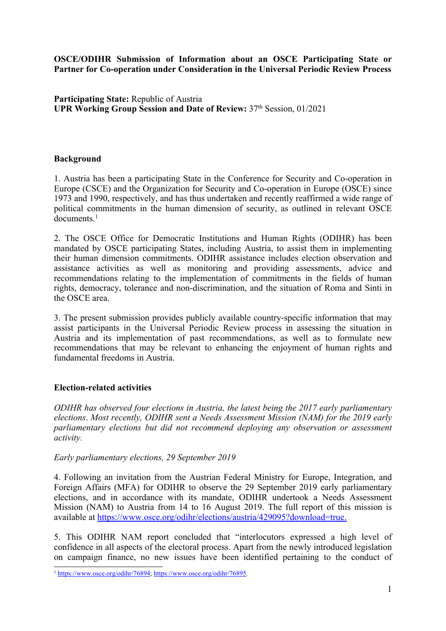**OSCE/ODIHR Submission of Information about an OSCE Participating State or Partner for Co-operation under Consideration in the Universal Periodic Review Process**

**Participating State:** Republic of Austria **UPR Working Group Session and Date of Review:** 37th Session, 01/2021

# **Background**

1. Austria has been <sup>a</sup> participating State in the Conference for Security and Co-operation in Europe (CSCE) and the Organization for Security and Co-operation in Europe (OSCE) since 1973 and 1990, respectively, and has thus undertaken and recently reaffirmed <sup>a</sup> wide range of political commitments in the human dimension of security, as outlined in relevant OSCE documents. 1

2. The OSCE Office for Democratic Institutions and Human Rights (ODIHR) has been mandated by OSCE participating States, including Austria, to assist them in implementing their human dimension commitments. ODIHR assistance includes election observation and assistance activities as well as monitoring and providing assessments, advice and recommendations relating to the implementation of commitments in the fields of human rights, democracy, tolerance and non-discrimination, and the situation of Roma and Sinti in the OSCE area.

3. The presen<sup>t</sup> submission provides publicly available country-specific information that may assist participants in the Universal Periodic Review process in assessing the situation in Austria and its implementation of pas<sup>t</sup> recommendations, as well as to formulate new recommendations that may be relevant to enhancing the enjoyment of human rights and fundamental freedoms in Austria.

#### **Election-related activities**

*ODIHR has observed four elections in Austria, the latest being the 2017 early parliamentary elections*. *Most recently, ODIHR sent <sup>a</sup> Needs Assessment Mission (NAM) for the 2019 early parliamentary elections but did not recommend deploying any observation or assessment activity.*

#### *Early parliamentary elections, 29 September 2019*

4. Following an invitation from the Austrian Federal Ministry for Europe, Integration, and Foreign Affairs (MFA) for ODIHR to observe the 29 September 2019 early parliamentary elections, and in accordance with its mandate, ODIHR undertook <sup>a</sup> Needs Assessment Mission (NAM) to Austria from 14 to 16 August 2019. The full repor<sup>t</sup> of this mission is available at <https://www.osce.org/odihr/elections/austria/429095?download=true>.

5. This ODIHR NAM repor<sup>t</sup> concluded that "interlocutors expressed <sup>a</sup> high level of confidence in all aspects of the electoral process. Apart from the newly introduced legislation on campaign finance, no new issues have been identified pertaining to the conduct of

<sup>&</sup>lt;sup>1</sup> <https://www.osce.org/odihr/76894>; <https://www.osce.org/odihr/76895>.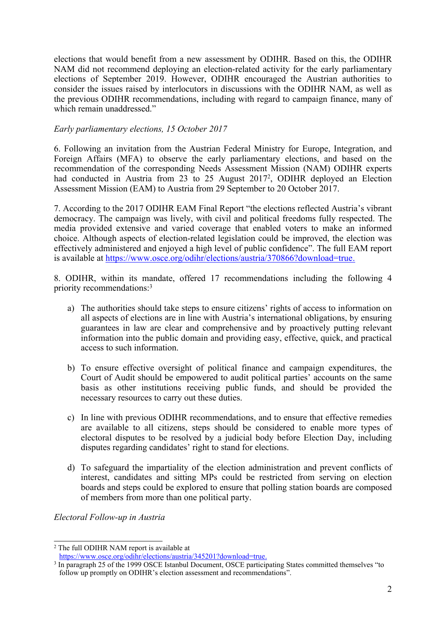elections that would benefit from <sup>a</sup> new assessment by ODIHR. Based on this, the ODIHR NAM did not recommend deploying an election-related activity for the early parliamentary elections of September 2019. However, ODIHR encouraged the Austrian authorities to consider the issues raised by interlocutors in discussions with the ODIHR NAM, as well as the previous ODIHR recommendations, including with regard to campaign finance, many of which remain unaddressed."

### *Early parliamentary elections, 15 October 2017*

6. Following an invitation from the Austrian Federal Ministry for Europe, Integration, and Foreign Affairs (MFA) to observe the early parliamentary elections, and based on the recommendation of the corresponding Needs Assessment Mission (NAM) ODIHR experts had conducted in Austria from 23 to 25 August 2017<sup>2</sup>, ODIHR deployed an Election Assessment Mission (EAM) to Austria from 29 September to 20 October 2017.

7. According to the 2017 ODIHR EAM Final Report "the elections reflected Austria'<sup>s</sup> vibrant democracy. The campaign was lively, with civil and political freedoms fully respected. The media provided extensive and varied coverage that enabled voters to make an informed choice. Although aspects of election-related legislation could be improved, the election was effectively administered and enjoyed <sup>a</sup> high level of public confidence". The full EAM repor<sup>t</sup> is available at <https://www.osce.org/odihr/elections/austria/370866?download=true>.

8. ODIHR, within its mandate, offered 17 recommendations including the following 4 priority recommendations: 3

- a) The authorities should take steps to ensure citizens' rights of access to information on all aspects of elections are in line with Austria'<sup>s</sup> international obligations, by ensuring guarantees in law are clear and comprehensive and by proactively putting relevant information into the public domain and providing easy, effective, quick, and practical access to such information.
- b) To ensure effective oversight of political finance and campaign expenditures, the Court of Audit should be empowered to audit political parties' accounts on the same basis as other institutions receiving public funds, and should be provided the necessary resources to carry out these duties.
- c) In line with previous ODIHR recommendations, and to ensure that effective remedies are available to all citizens, steps should be considered to enable more types of electoral disputes to be resolved by <sup>a</sup> judicial body before Election Day, including disputes regarding candidates' right to stand for elections.
- d) To safeguard the impartiality of the election administration and preven<sup>t</sup> conflicts of interest, candidates and sitting MPs could be restricted from serving on election boards and steps could be explored to ensure that polling station boards are composed of members from more than one political party.

*Electoral Follow-up in Austria*

<sup>&</sup>lt;sup>2</sup> The full ODIHR NAM report is available at

<https://www.osce.org/odihr/elections/austria/345201?download=true>.

<sup>&</sup>lt;sup>3</sup> In paragraph 25 of the 1999 OSCE Istanbul Document, OSCE participating States committed themselves "to follow up promptly on ODIHR'<sup>s</sup> election assessment and recommendations".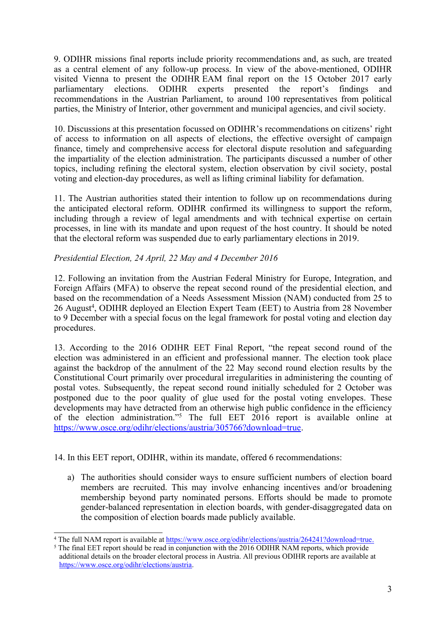9. ODIHR missions final reports include priority recommendations and, as such, are treated as <sup>a</sup> central element of any follow-up process. In view of the above-mentioned, ODIHR visited Vienna to present the ODIHR EAM final report on the 15 October 2017 early<br>parliamentary elections. ODIHR experts presented the report's findings and parliamentary elections. ODIHR experts presented the report'<sup>s</sup> findings and recommendations in the Austrian Parliament, to around 100 representatives from political parties, the Ministry of Interior, other governmen<sup>t</sup> and municipal agencies, and civil society.

10. Discussions at this presentation focussed on ODIHR'<sup>s</sup> recommendations on citizens' right of access to information on all aspects of elections, the effective oversight of campaign finance, timely and comprehensive access for electoral dispute resolution and safeguarding the impartiality of the election administration. The participants discussed <sup>a</sup> number of other topics, including refining the electoral system, election observation by civil society, postal voting and election-day procedures, as well as lifting criminal liability for defamation.

11. The Austrian authorities stated their intention to follow up on recommendations during the anticipated electoral reform. ODIHR confirmed its willingness to suppor<sup>t</sup> the reform, including through <sup>a</sup> review of legal amendments and with technical expertise on certain processes, in line with its mandate and upon reques<sup>t</sup> of the host country. It should be noted that the electoral reform was suspended due to early parliamentary elections in 2019.

# *Presidential Election, 24 April, 22 May and 4 December 2016*

12. Following an invitation from the Austrian Federal Ministry for Europe, Integration, and Foreign Affairs (MFA) to observe the repea<sup>t</sup> second round of the presidential election, and based on the recommendation of <sup>a</sup> Needs Assessment Mission (NAM) conducted from 25 to 26 August 4 , ODIHR deployed an Election Expert Team (EET) to Austria from 28 November to 9 December with <sup>a</sup> special focus on the legal framework for postal voting and election day procedures.

13. According to the 2016 ODIHR EET Final Report, "the repea<sup>t</sup> second round of the election was administered in an efficient and professional manner. The election took place against the backdrop of the annulment of the 22 May second round election results by the Constitutional Court primarily over procedural irregularities in administering the counting of postal votes. Subsequently, the repea<sup>t</sup> second round initially scheduled for 2 October was postponed due to the poor quality of glue used for the postal voting envelopes. These developments may have detracted from an otherwise high public confidence in the efficiency of the election administration."<sup>5</sup> The full EET 2016 repor<sup>t</sup> is available online at <https://www.osce.org/odihr/elections/austria/305766?download=true>.

14. In this EET report, ODIHR, within its mandate, offered 6 recommendations:

a) The authorities should consider ways to ensure sufficient numbers of election board members are recruited. This may involve enhancing incentives and/or broadening membership beyond party nominated persons. Efforts should be made to promote gender-balanced representation in election boards, with gender-disaggregated data on the composition of election boards made publicly available.

<sup>&</sup>lt;sup>4</sup> The full NAM report is available at <https://www.osce.org/odihr/elections/austria/264241?download=true>.

<sup>&</sup>lt;sup>5</sup> The final EET report should be read in conjunction with the 2016 ODIHR NAM reports, which provide additional details on the broader electoral process in Austria. All previous ODIHR reports are available at <https://www.osce.org/odihr/elections/austria>.